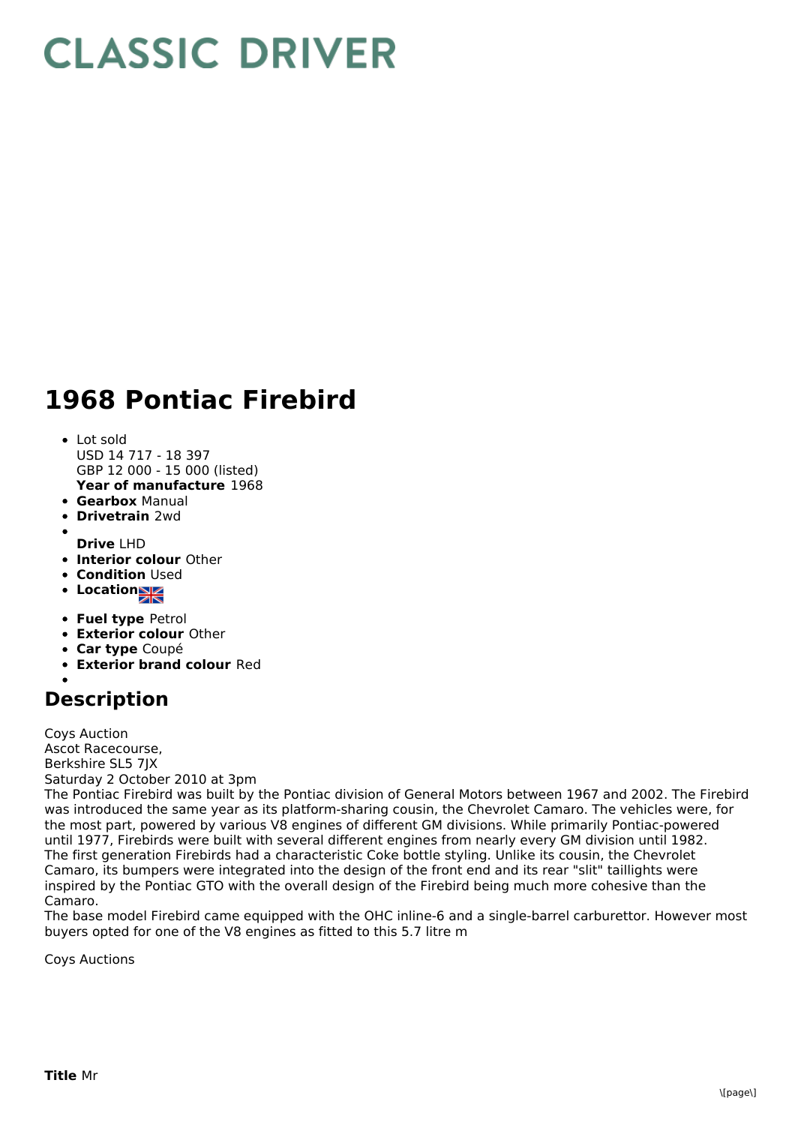## **CLASSIC DRIVER**

## **1968 Pontiac Firebird**

- **Year of manufacture** 1968 Lot sold USD 14 717 - 18 397 GBP 12 000 - 15 000 (listed)
- **Gearbox** Manual
- **Drivetrain** 2wd
- **Drive** LHD
- **Interior colour** Other
- **Condition Used**
- **Location**
- **Fuel type** Petrol
- **Exterior colour** Other
- **Car type** Coupé
- **Exterior brand colour** Red

## **Description**

Coys Auction Ascot Racecourse, Berkshire SL5 7JX Saturday 2 October 2010 at 3pm

The Pontiac Firebird was built by the Pontiac division of General Motors between 1967 and 2002. The Firebird was introduced the same year as its platform-sharing cousin, the Chevrolet Camaro. The vehicles were, for the most part, powered by various V8 engines of different GM divisions. While primarily Pontiac-powered until 1977, Firebirds were built with several different engines from nearly every GM division until 1982. The first generation Firebirds had a characteristic Coke bottle styling. Unlike its cousin, the Chevrolet Camaro, its bumpers were integrated into the design of the front end and its rear "slit" taillights were inspired by the Pontiac GTO with the overall design of the Firebird being much more cohesive than the Camaro.

The base model Firebird came equipped with the OHC inline-6 and a single-barrel carburettor. However most buyers opted for one of the V8 engines as fitted to this 5.7 litre m

Coys Auctions